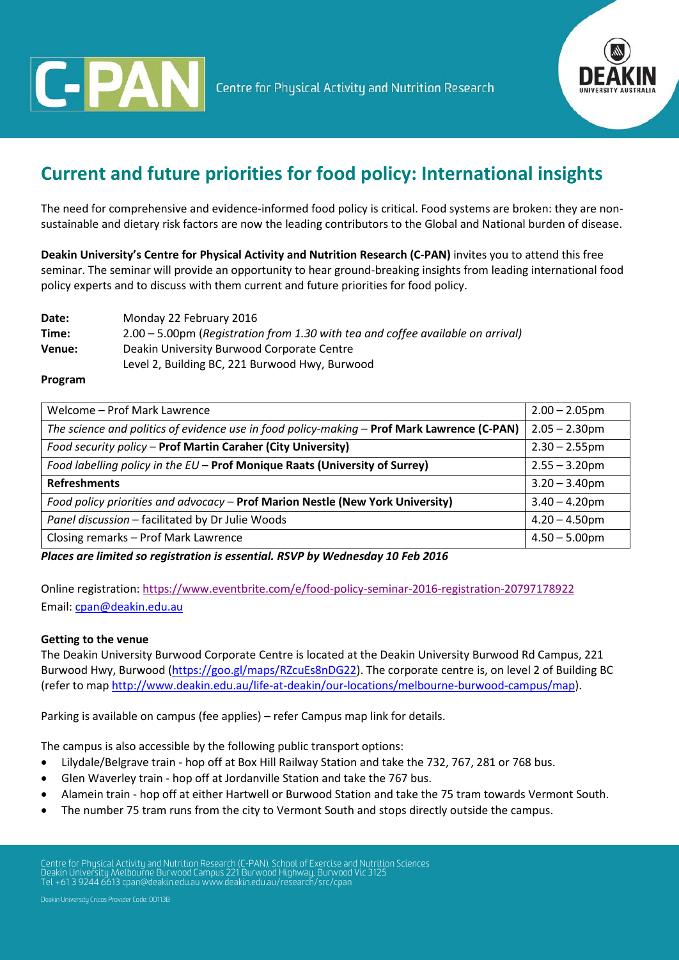



# **Current and future priorities for food policy: International insights**

The need for comprehensive and evidence-informed food policy is critical. Food systems are broken: they are nonsustainable and dietary risk factors are now the leading contributors to the Global and National burden of disease.

**Deakin University's Centre for Physical Activity and Nutrition Research (C-PAN)** invites you to attend this free seminar. The seminar will provide an opportunity to hear ground-breaking insights from leading international food policy experts and to discuss with them current and future priorities for food policy.

**Date:** Monday 22 February 2016 **Time:** 2.00 – 5.00pm (*Registration from 1.30 with tea and coffee available on arrival)* **Venue:** Deakin University Burwood Corporate Centre Level 2, Building BC, 221 Burwood Hwy, Burwood

## **Program**

| Welcome - Prof Mark Lawrence                                                                | $2.00 - 2.05$ pm |
|---------------------------------------------------------------------------------------------|------------------|
| The science and politics of evidence use in food policy-making - Prof Mark Lawrence (C-PAN) | $2.05 - 2.30$ pm |
| Food security policy - Prof Martin Caraher (City University)                                | $2.30 - 2.55$ pm |
| Food labelling policy in the EU - Prof Monique Raats (University of Surrey)                 | $2.55 - 3.20$ pm |
| <b>Refreshments</b>                                                                         | $3.20 - 3.40$ pm |
| Food policy priorities and advocacy - Prof Marion Nestle (New York University)              | $3.40 - 4.20$ pm |
| Panel discussion - facilitated by Dr Julie Woods                                            | $4.20 - 4.50$ pm |
| Closing remarks - Prof Mark Lawrence                                                        | $4.50 - 5.00$ pm |

*Places are limited so registration is essential. RSVP by Wednesday 10 Feb 2016* 

Online registration:<https://www.eventbrite.com/e/food-policy-seminar-2016-registration-20797178922> Email: [cpan@deakin.edu.au](mailto:cpan@deakin.edu.au)

#### **Getting to the venue**

The Deakin University Burwood Corporate Centre is located at the Deakin University Burwood Rd Campus, 221 Burwood Hwy, Burwood [\(https://goo.gl/maps/RZcuEs8nDG22\)](https://goo.gl/maps/RZcuEs8nDG22). The corporate centre is, on level 2 of Building BC (refer to map [http://www.deakin.edu.au/life-at-deakin/our-locations/melbourne-burwood-campus/map\)](http://www.deakin.edu.au/life-at-deakin/our-locations/melbourne-burwood-campus/map).

Parking is available on campus (fee applies) – refer Campus map link for details.

The campus is also accessible by the following public transport options:

- Lilydale/Belgrave train hop off at Box Hill Railway Station and take the 732, 767, 281 or 768 bus.
- Glen Waverley train hop off at Jordanville Station and take the 767 bus.
- Alamein train hop off at either Hartwell or Burwood Station and take the 75 tram towards Vermont South.
- The number 75 tram runs from the city to Vermont South and stops directly outside the campus.

Centre for Physical Activity and Nutrition Research (C-PAN), School of Exercise and Nutrition Sciences Deakin University Melbourne Burwood Campus 221 Burwood Highway, Burwood Vic 3125 Tel +61 3 9244 6613 cpan@deakin.edu.a[u www.deakin.edu.au/research/src/cpan](http://www.deakin.edu.au/health/cpan)